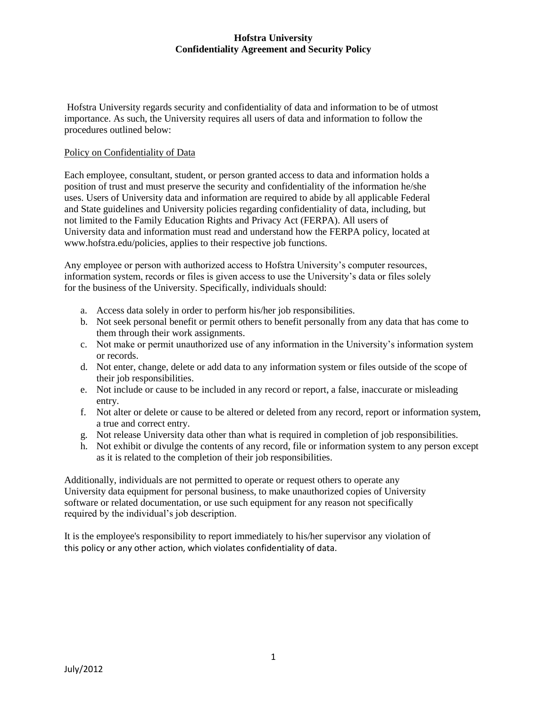Hofstra University regards security and confidentiality of data and information to be of utmost importance. As such, the University requires all users of data and information to follow the procedures outlined below:

#### Policy on Confidentiality of Data

Each employee, consultant, student, or person granted access to data and information holds a position of trust and must preserve the security and confidentiality of the information he/she uses. Users of University data and information are required to abide by all applicable Federal and State guidelines and University policies regarding confidentiality of data, including, but not limited to the Family Education Rights and Privacy Act (FERPA). All users of University data and information must read and understand how the FERPA policy, located at www.hofstra.edu/policies, applies to their respective job functions.

Any employee or person with authorized access to Hofstra University's computer resources, information system, records or files is given access to use the University's data or files solely for the business of the University. Specifically, individuals should:

- a. Access data solely in order to perform his/her job responsibilities.
- b. Not seek personal benefit or permit others to benefit personally from any data that has come to them through their work assignments.
- c. Not make or permit unauthorized use of any information in the University's information system or records.
- d. Not enter, change, delete or add data to any information system or files outside of the scope of their job responsibilities.
- e. Not include or cause to be included in any record or report, a false, inaccurate or misleading entry.
- f. Not alter or delete or cause to be altered or deleted from any record, report or information system, a true and correct entry.
- g. Not release University data other than what is required in completion of job responsibilities.
- h. Not exhibit or divulge the contents of any record, file or information system to any person except as it is related to the completion of their job responsibilities.

Additionally, individuals are not permitted to operate or request others to operate any University data equipment for personal business, to make unauthorized copies of University software or related documentation, or use such equipment for any reason not specifically required by the individual's job description.

It is the employee's responsibility to report immediately to his/her supervisor any violation of this policy or any other action, which violates confidentiality of data.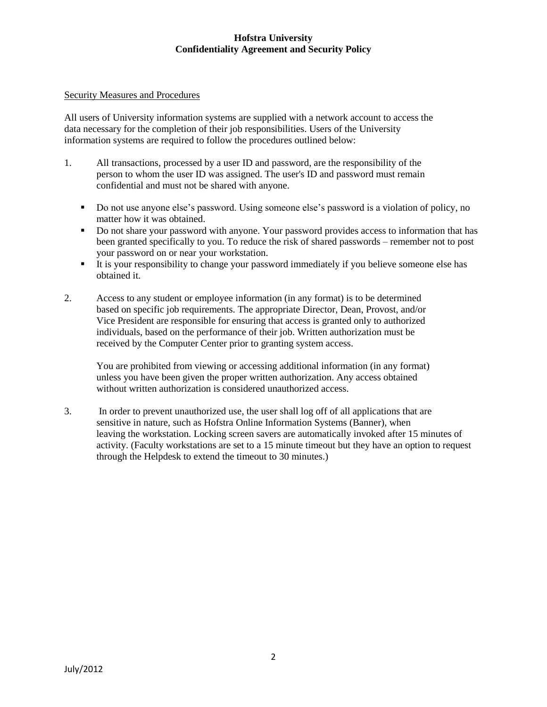#### Security Measures and Procedures

All users of University information systems are supplied with a network account to access the data necessary for the completion of their job responsibilities. Users of the University information systems are required to follow the procedures outlined below:

- 1. All transactions, processed by a user ID and password, are the responsibility of the person to whom the user ID was assigned. The user's ID and password must remain confidential and must not be shared with anyone.
	- Do not use anyone else's password. Using someone else's password is a violation of policy, no matter how it was obtained.
	- Do not share your password with anyone. Your password provides access to information that has been granted specifically to you. To reduce the risk of shared passwords – remember not to post your password on or near your workstation.
	- It is your responsibility to change your password immediately if you believe someone else has obtained it.
- 2. Access to any student or employee information (in any format) is to be determined based on specific job requirements. The appropriate Director, Dean, Provost, and/or Vice President are responsible for ensuring that access is granted only to authorized individuals, based on the performance of their job. Written authorization must be received by the Computer Center prior to granting system access.

You are prohibited from viewing or accessing additional information (in any format) unless you have been given the proper written authorization. Any access obtained without written authorization is considered unauthorized access.

3. In order to prevent unauthorized use, the user shall log off of all applications that are sensitive in nature, such as Hofstra Online Information Systems (Banner), when leaving the workstation. Locking screen savers are automatically invoked after 15 minutes of activity. (Faculty workstations are set to a 15 minute timeout but they have an option to request through the Helpdesk to extend the timeout to 30 minutes.)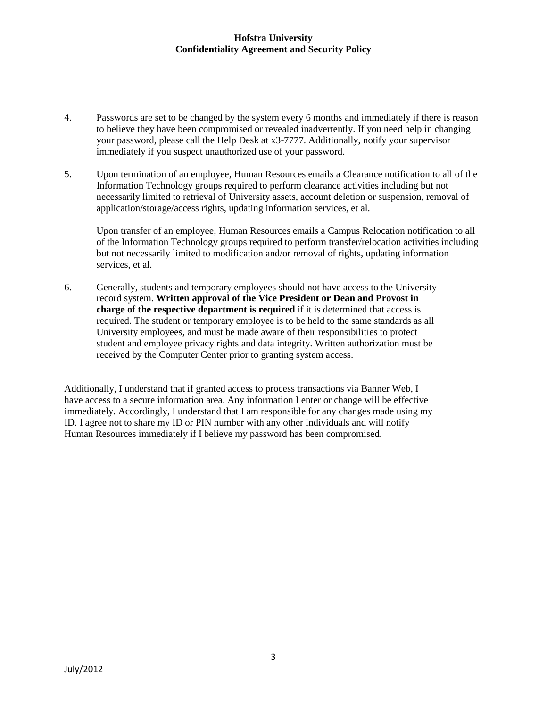- 4. Passwords are set to be changed by the system every 6 months and immediately if there is reason to believe they have been compromised or revealed inadvertently. If you need help in changing your password, please call the Help Desk at x3-7777. Additionally, notify your supervisor immediately if you suspect unauthorized use of your password.
- 5. Upon termination of an employee, Human Resources emails a Clearance notification to all of the Information Technology groups required to perform clearance activities including but not necessarily limited to retrieval of University assets, account deletion or suspension, removal of application/storage/access rights, updating information services, et al.

Upon transfer of an employee, Human Resources emails a Campus Relocation notification to all of the Information Technology groups required to perform transfer/relocation activities including but not necessarily limited to modification and/or removal of rights, updating information services, et al.

6. Generally, students and temporary employees should not have access to the University record system. **Written approval of the Vice President or Dean and Provost in charge of the respective department is required** if it is determined that access is required. The student or temporary employee is to be held to the same standards as all University employees, and must be made aware of their responsibilities to protect student and employee privacy rights and data integrity. Written authorization must be received by the Computer Center prior to granting system access.

Additionally, I understand that if granted access to process transactions via Banner Web, I have access to a secure information area. Any information I enter or change will be effective immediately. Accordingly, I understand that I am responsible for any changes made using my ID. I agree not to share my ID or PIN number with any other individuals and will notify Human Resources immediately if I believe my password has been compromised.